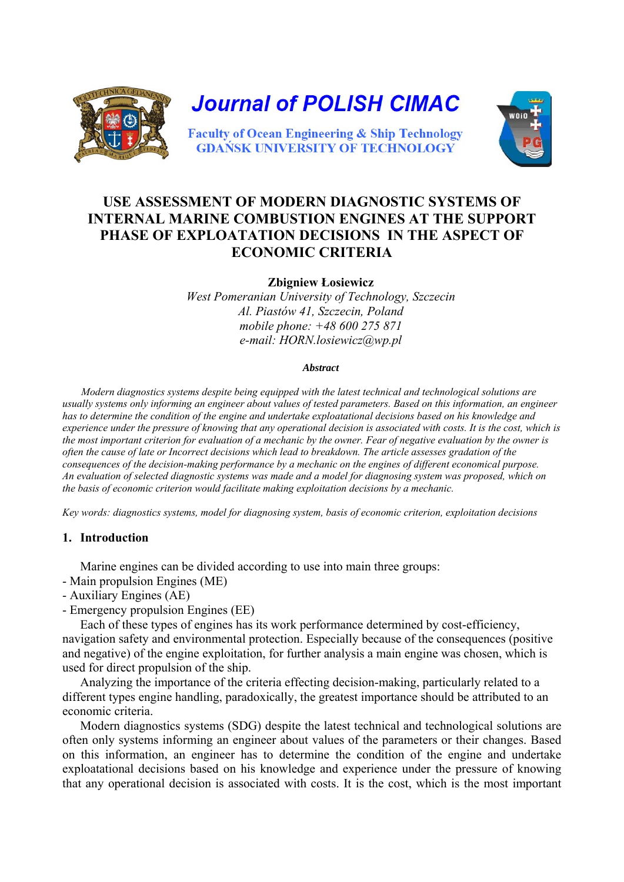

# **USE ASSESSMENT OF MODERN DIAGNOSTIC SYSTEMS OF INTERNAL MARINE COMBUSTION ENGINES AT THE SUPPORT PHASE OF EXPLOATATION DECISIONS IN THE ASPECT OF ECONOMIC CRITERIA**

**Zbigniew Łosiewicz** 

*West Pomeranian University of Technology, Szczecin Al. Piastów 41, Szczecin, Poland mobile phone: +48 600 275 871 e-mail: HORN.losiewicz@wp.pl* 

#### *Abstract*

*Modern diagnostics systems despite being equipped with the latest technical and technological solutions are usually systems only informing an engineer about values of tested parameters. Based on this information, an engineer has to determine the condition of the engine and undertake exploatational decisions based on his knowledge and experience under the pressure of knowing that any operational decision is associated with costs. It is the cost, which is the most important criterion for evaluation of a mechanic by the owner. Fear of negative evaluation by the owner is often the cause of late or Incorrect decisions which lead to breakdown. The article assesses gradation of the consequences of the decision-making performance by a mechanic on the engines of different economical purpose. An evaluation of selected diagnostic systems was made and a model for diagnosing system was proposed, which on the basis of economic criterion would facilitate making exploitation decisions by a mechanic.* 

*Key words: diagnostics systems, model for diagnosing system, basis of economic criterion, exploitation decisions* 

#### **1. Introduction**

Marine engines can be divided according to use into main three groups:

- Main propulsion Engines (ME)
- Auxiliary Engines (AE)
- Emergency propulsion Engines (EE)

Each of these types of engines has its work performance determined by cost-efficiency, navigation safety and environmental protection. Especially because of the consequences (positive and negative) of the engine exploitation, for further analysis a main engine was chosen, which is used for direct propulsion of the ship.

Analyzing the importance of the criteria effecting decision-making, particularly related to a different types engine handling, paradoxically, the greatest importance should be attributed to an economic criteria.

Modern diagnostics systems (SDG) despite the latest technical and technological solutions are often only systems informing an engineer about values of the parameters or their changes. Based on this information, an engineer has to determine the condition of the engine and undertake exploatational decisions based on his knowledge and experience under the pressure of knowing that any operational decision is associated with costs. It is the cost, which is the most important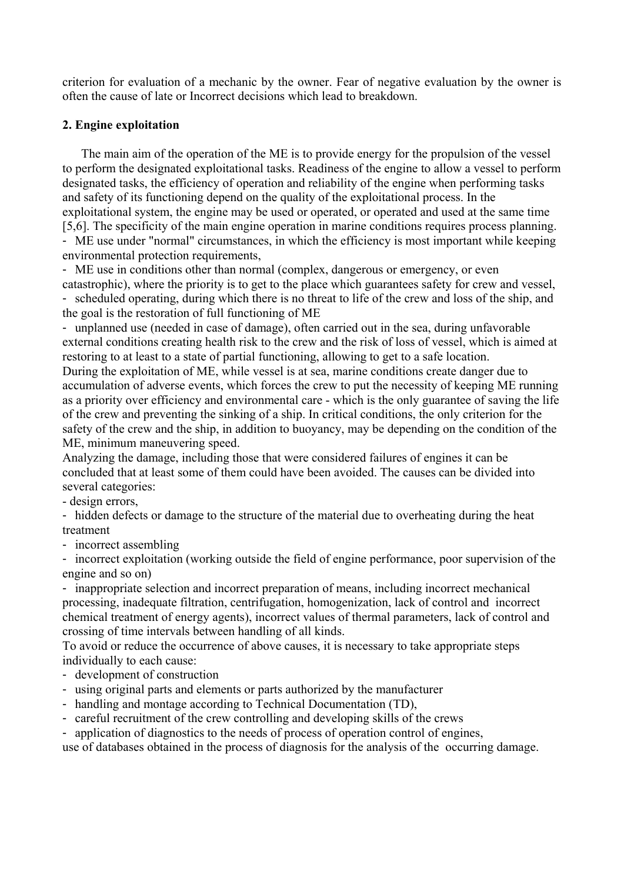criterion for evaluation of a mechanic by the owner. Fear of negative evaluation by the owner is often the cause of late or Incorrect decisions which lead to breakdown.

## **2. Engine exploitation**

The main aim of the operation of the ME is to provide energy for the propulsion of the vessel to perform the designated exploitational tasks. Readiness of the engine to allow a vessel to perform designated tasks, the efficiency of operation and reliability of the engine when performing tasks and safety of its functioning depend on the quality of the exploitational process. In the exploitational system, the engine may be used or operated, or operated and used at the same time [5,6]. The specificity of the main engine operation in marine conditions requires process planning. - ME use under "normal" circumstances, in which the efficiency is most important while keeping environmental protection requirements,

- ME use in conditions other than normal (complex, dangerous or emergency, or even catastrophic), where the priority is to get to the place which guarantees safety for crew and vessel, - scheduled operating, during which there is no threat to life of the crew and loss of the ship, and the goal is the restoration of full functioning of ME

- unplanned use (needed in case of damage), often carried out in the sea, during unfavorable external conditions creating health risk to the crew and the risk of loss of vessel, which is aimed at restoring to at least to a state of partial functioning, allowing to get to a safe location.

During the exploitation of ME, while vessel is at sea, marine conditions create danger due to accumulation of adverse events, which forces the crew to put the necessity of keeping ME running as a priority over efficiency and environmental care - which is the only guarantee of saving the life of the crew and preventing the sinking of a ship. In critical conditions, the only criterion for the safety of the crew and the ship, in addition to buoyancy, may be depending on the condition of the ME, minimum maneuvering speed.

Analyzing the damage, including those that were considered failures of engines it can be concluded that at least some of them could have been avoided. The causes can be divided into several categories:

- design errors,

- hidden defects or damage to the structure of the material due to overheating during the heat treatment

- incorrect assembling

- incorrect exploitation (working outside the field of engine performance, poor supervision of the engine and so on)

- inappropriate selection and incorrect preparation of means, including incorrect mechanical processing, inadequate filtration, centrifugation, homogenization, lack of control and incorrect chemical treatment of energy agents), incorrect values of thermal parameters, lack of control and crossing of time intervals between handling of all kinds.

To avoid or reduce the occurrence of above causes, it is necessary to take appropriate steps individually to each cause:

- development of construction
- using original parts and elements or parts authorized by the manufacturer
- handling and montage according to Technical Documentation (TD),
- careful recruitment of the crew controlling and developing skills of the crews

- application of diagnostics to the needs of process of operation control of engines,

use of databases obtained in the process of diagnosis for the analysis of the occurring damage.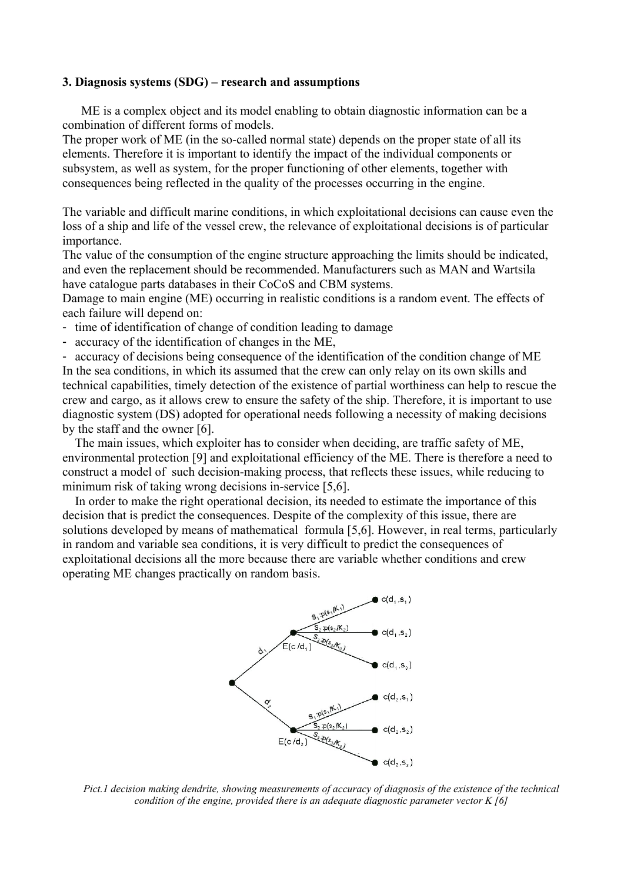#### **3. Diagnosis systems (SDG) – research and assumptions**

ME is a complex object and its model enabling to obtain diagnostic information can be a combination of different forms of models.

The proper work of ME (in the so-called normal state) depends on the proper state of all its elements. Therefore it is important to identify the impact of the individual components or subsystem, as well as system, for the proper functioning of other elements, together with consequences being reflected in the quality of the processes occurring in the engine.

The variable and difficult marine conditions, in which exploitational decisions can cause even the loss of a ship and life of the vessel crew, the relevance of exploitational decisions is of particular importance.

The value of the consumption of the engine structure approaching the limits should be indicated, and even the replacement should be recommended. Manufacturers such as MAN and Wartsila have catalogue parts databases in their CoCoS and CBM systems.

Damage to main engine (ME) occurring in realistic conditions is a random event. The effects of each failure will depend on:

- time of identification of change of condition leading to damage
- accuracy of the identification of changes in the ME,

- accuracy of decisions being consequence of the identification of the condition change of ME In the sea conditions, in which its assumed that the crew can only relay on its own skills and technical capabilities, timely detection of the existence of partial worthiness can help to rescue the crew and cargo, as it allows crew to ensure the safety of the ship. Therefore, it is important to use diagnostic system (DS) adopted for operational needs following a necessity of making decisions by the staff and the owner [6].

The main issues, which exploiter has to consider when deciding, are traffic safety of ME, environmental protection [9] and exploitational efficiency of the ME. There is therefore a need to construct a model of such decision-making process, that reflects these issues, while reducing to minimum risk of taking wrong decisions in-service [5,6].

In order to make the right operational decision, its needed to estimate the importance of this decision that is predict the consequences. Despite of the complexity of this issue, there are solutions developed by means of mathematical formula [5,6]. However, in real terms, particularly in random and variable sea conditions, it is very difficult to predict the consequences of exploitational decisions all the more because there are variable whether conditions and crew operating ME changes practically on random basis.



*Pict.1 decision making dendrite, showing measurements of accuracy of diagnosis of the existence of the technical condition of the engine, provided there is an adequate diagnostic parameter vector K [6]*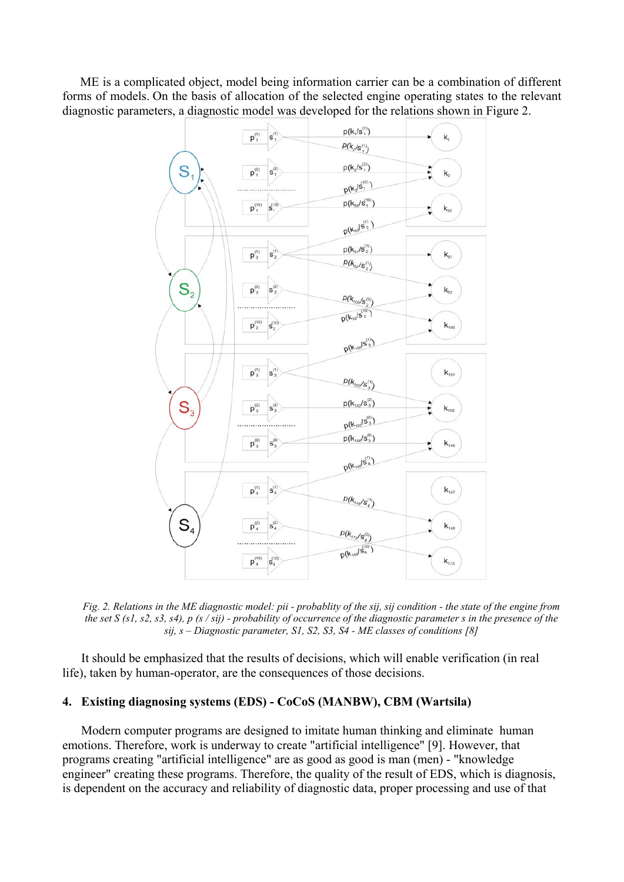ME is a complicated object, model being information carrier can be a combination of different forms of models. On the basis of allocation of the selected engine operating states to the relevant diagnostic parameters, a diagnostic model was developed for the relations shown in Figure 2.



*Fig. 2. Relations in the ME diagnostic model: pii - probablity of the sij, sij condition - the state of the engine from the set S (s1, s2, s3, s4), p (s / sij) - probability of occurrence of the diagnostic parameter s in the presence of the sij, s – Diagnostic parameter, S1, S2, S3, S4 - ME classes of conditions [8]* 

It should be emphasized that the results of decisions, which will enable verification (in real life), taken by human-operator, are the consequences of those decisions.

#### **4. Existing diagnosing systems (EDS) - CoCoS (MANBW), CBM (Wartsila)**

Modern computer programs are designed to imitate human thinking and eliminate human emotions. Therefore, work is underway to create "artificial intelligence" [9]. However, that programs creating "artificial intelligence" are as good as good is man (men) - "knowledge engineer" creating these programs. Therefore, the quality of the result of EDS, which is diagnosis, is dependent on the accuracy and reliability of diagnostic data, proper processing and use of that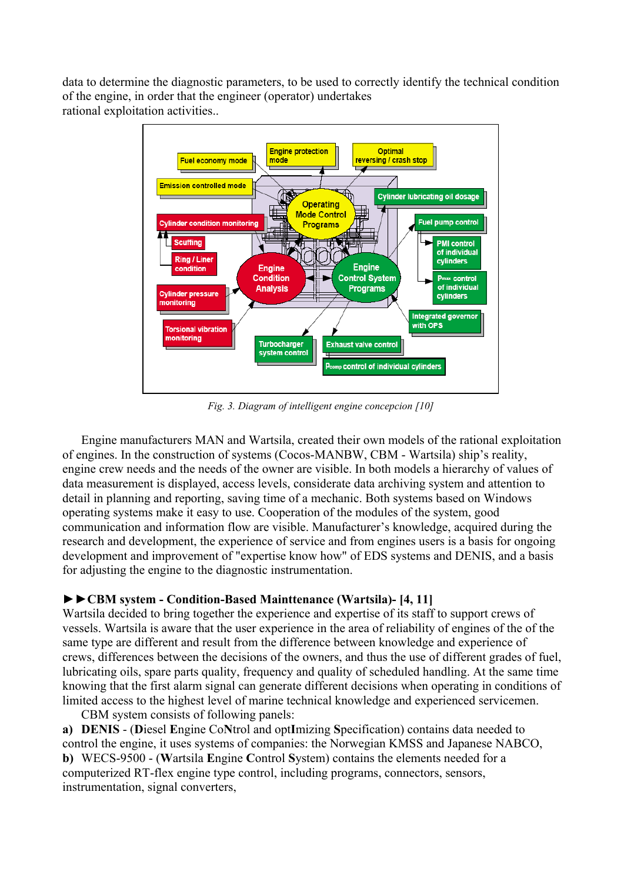data to determine the diagnostic parameters, to be used to correctly identify the technical condition of the engine, in order that the engineer (operator) undertakes rational exploitation activities..



*Fig. 3. Diagram of [intelligent](http://megaslownik.pl/slownik/angielsko_polski/,intelligent) engine concepcion [10]* 

Engine manufacturers MAN and Wartsila, created their own models of the rational exploitation of engines. In the construction of systems (Cocos-MANBW, CBM - Wartsila) ship's reality, engine crew needs and the needs of the owner are visible. In both models a hierarchy of values of data measurement is displayed, access levels, considerate data archiving system and attention to detail in planning and reporting, saving time of a mechanic. Both systems based on Windows operating systems make it easy to use. Cooperation of the modules of the system, good communication and information flow are visible. Manufacturer's knowledge, acquired during the research and development, the experience of service and from engines users is a basis for ongoing development and improvement of "expertise know how" of EDS systems and DENIS, and a basis for adjusting the engine to the diagnostic instrumentation.

## **►►CBM system - Condition-Based Mainttenance (Wartsila)- [4, 11]**

Wartsila decided to bring together the experience and expertise of its staff to support crews of vessels. Wartsila is aware that the user experience in the area of reliability of engines of the of the same type are different and result from the difference between knowledge and experience of crews, differences between the decisions of the owners, and thus the use of different grades of fuel, lubricating oils, spare parts quality, frequency and quality of scheduled handling. At the same time knowing that the first alarm signal can generate different decisions when operating in conditions of limited access to the highest level of marine technical knowledge and experienced servicemen. CBM system consists of following panels:

**a) DENIS** - (**D**iesel **E**ngine Co**N**trol and opt**I**mizing **S**pecification) contains data needed to control the engine, it uses systems of companies: the Norwegian KMSS and Japanese NABCO, **b)** WECS-9500 - (**W**artsila **E**ngine **C**ontrol **S**ystem) contains the elements needed for a computerized RT-flex engine type control, including programs, connectors, sensors, instrumentation, signal converters,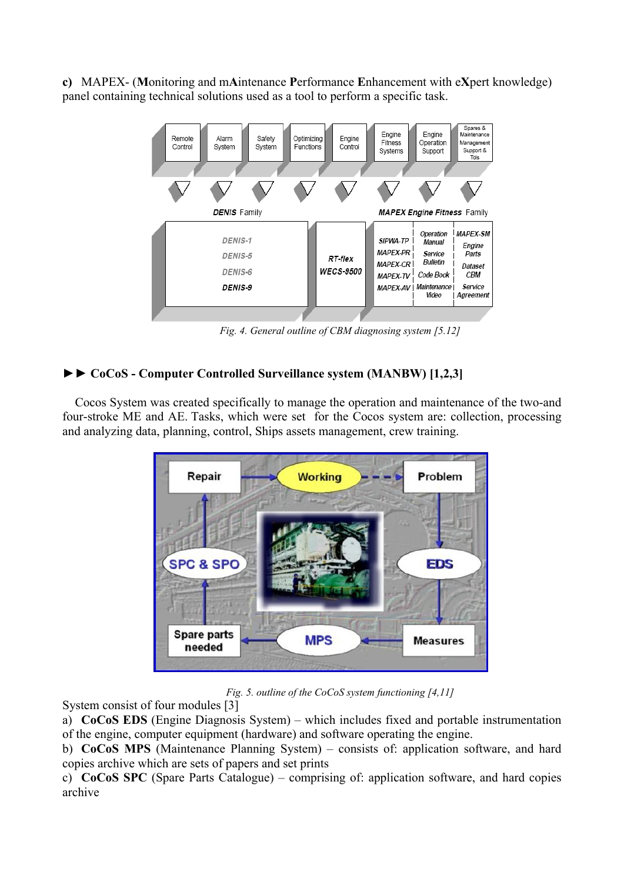**c)** MAPEX- (**M**onitoring and m**A**intenance **P**erformance **E**nhancement with e**X**pert knowledge) panel containing technical solutions used as a tool to perform a specific task.



*Fig. 4. General outline of CBM diagnosing system [5.12]* 

## **►► CoCoS - Computer Controlled Surveillance system (MANBW) [1,2,3]**

Cocos System was created specifically to manage the operation and maintenance of the two-and four-stroke ME and AE. Tasks, which were set for the Cocos system are: collection, processing and analyzing data, planning, control, Ships assets management, crew training.



*Fig. 5. outline of the CoCoS system functioning [4,11]* 

System consist of four modules [3]

a) **CoCoS EDS** (Engine Diagnosis System) – which includes fixed and portable instrumentation of the engine, computer equipment (hardware) and software operating the engine.

b) **CoCoS MPS** (Maintenance Planning System) – consists of: application software, and hard copies archive which are sets of papers and set prints

c) **CoCoS SPC** (Spare Parts Catalogue) – comprising of: application software, and hard copies archive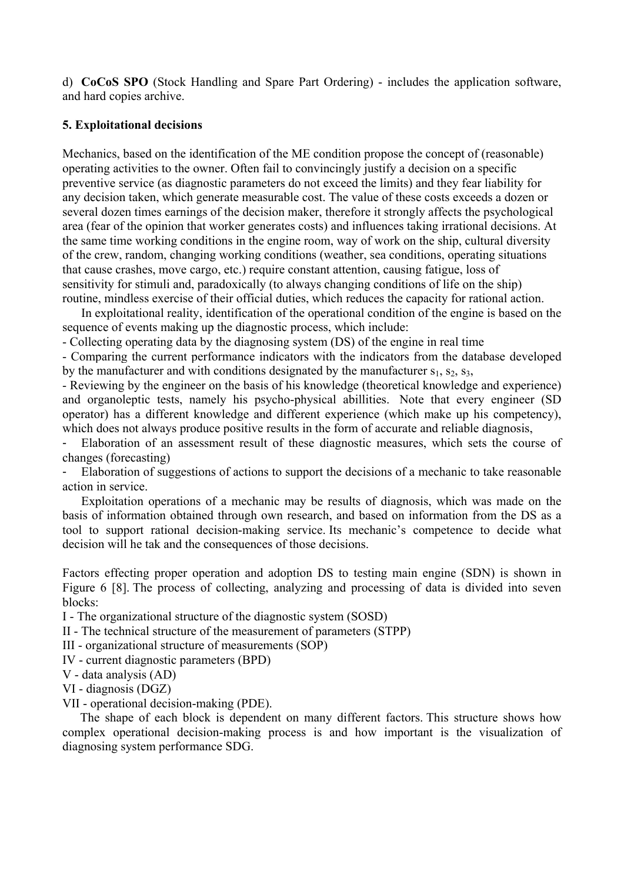d) **CoCoS SPO** (Stock Handling and Spare Part Ordering) - includes the application software, and hard copies archive.

### **5. Exploitational decisions**

Mechanics, based on the identification of the ME condition propose the concept of (reasonable) operating activities to the owner. Often fail to convincingly justify a decision on a specific preventive service (as diagnostic parameters do not exceed the limits) and they fear liability for any decision taken, which generate measurable cost. The value of these costs exceeds a dozen or several dozen times earnings of the decision maker, therefore it strongly affects the psychological area (fear of the opinion that worker generates costs) and influences taking irrational decisions. At the same time working conditions in the engine room, way of work on the ship, cultural diversity of the crew, random, changing working conditions (weather, sea conditions, operating situations that cause crashes, move cargo, etc.) require constant attention, causing fatigue, loss of sensitivity for stimuli and, paradoxically (to always changing conditions of life on the ship) routine, mindless exercise of their official duties, which reduces the capacity for rational action.

In exploitational reality, identification of the operational condition of the engine is based on the sequence of events making up the diagnostic process, which include:

- Collecting operating data by the diagnosing system (DS) of the engine in real time

- Comparing the current performance indicators with the indicators from the database developed by the manufacturer and with conditions designated by the manufacturer  $s_1$ ,  $s_2$ ,  $s_3$ ,

- Reviewing by the engineer on the basis of his knowledge (theoretical knowledge and experience) and organoleptic tests, namely his psycho-physical abillities. Note that every engineer (SD operator) has a different knowledge and different experience (which make up his competency), which does not always produce positive results in the form of accurate and reliable diagnosis,

- Elaboration of an assessment result of these diagnostic measures, which sets the course of changes (forecasting)

- Elaboration of suggestions of actions to support the decisions of a mechanic to take reasonable action in service.

Exploitation operations of a mechanic may be results of diagnosis, which was made on the basis of information obtained through own research, and based on information from the DS as a tool to support rational decision-making service. Its mechanic's competence to decide what decision will he tak and the consequences of those decisions.

Factors effecting proper operation and adoption DS to testing main engine (SDN) is shown in Figure 6 [8]. The process of collecting, analyzing and processing of data is divided into seven blocks:

I - The organizational structure of the diagnostic system (SOSD)

II - The technical structure of the measurement of parameters (STPP)

III - organizational structure of measurements (SOP)

IV - current diagnostic parameters (BPD)

V - data analysis (AD)

VI - diagnosis (DGZ)

VII - operational decision-making (PDE).

The shape of each block is dependent on many different factors. This structure shows how complex operational decision-making process is and how important is the visualization of diagnosing system performance SDG.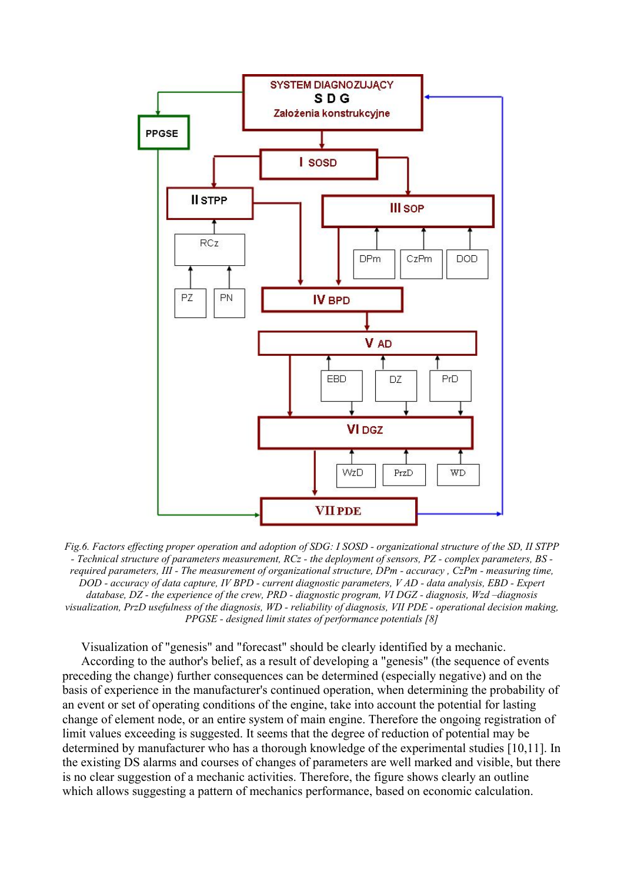

*Fig.6. Factors effecting proper operation and adoption of SDG: I SOSD - organizational structure of the SD, II STPP - Technical structure of parameters measurement, RCz - the deployment of sensors, PZ - complex parameters, BS required parameters, III - The measurement of organizational structure, DPm - accuracy , CzPm - measuring time, DOD - accuracy of data capture, IV BPD - current diagnostic parameters, V AD - data analysis, EBD - Expert database, DZ - the experience of the crew, PRD - diagnostic program, VI DGZ - diagnosis, Wzd –diagnosis visualization, PrzD usefulness of the diagnosis, WD - reliability of diagnosis, VII PDE - operational decision making, PPGSE - designed limit states of performance potentials [8]* 

Visualization of "genesis" and "forecast" should be clearly identified by a mechanic. According to the author's belief, as a result of developing a "genesis" (the sequence of events preceding the change) further consequences can be determined (especially negative) and on the basis of experience in the manufacturer's continued operation, when determining the probability of an event or set of operating conditions of the engine, take into account the potential for lasting change of element node, or an entire system of main engine. Therefore the ongoing registration of limit values exceeding is suggested. It seems that the degree of reduction of potential may be determined by manufacturer who has a thorough knowledge of the experimental studies [10,11]. In the existing DS alarms and courses of changes of parameters are well marked and visible, but there is no clear suggestion of a mechanic activities. Therefore, the figure shows clearly an outline which allows suggesting a pattern of mechanics performance, based on economic calculation.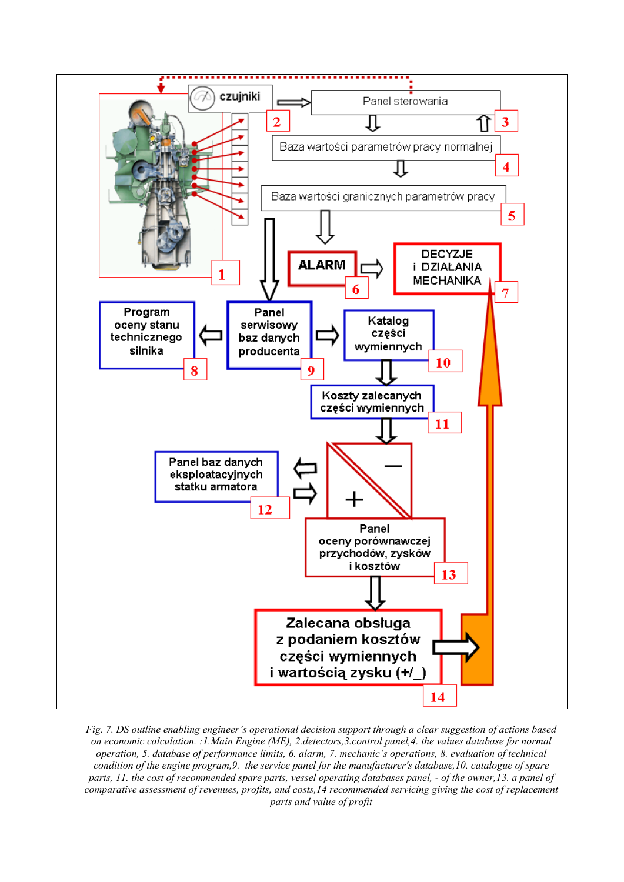

*Fig. 7. DS outline enabling engineer's operational decision support through a clear suggestion of actions based on economic calculation. :1.Main Engine (ME), 2.detectors,3.control panel,4. the values database for normal operation, 5. database of performance limits, 6. alarm, 7. mechanic's operations, 8. evaluation of technical condition of the engine program,9. the service panel for the manufacturer's database,10. catalogue of spare parts, 11. the cost of recommended spare parts, vessel operating databases panel, - of the owner, 13. a panel of comparative assessment of revenues, profits, and costs,14 recommended servicing giving the cost of replacement parts and value of profit*